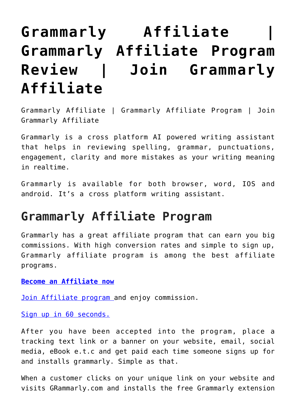## **[Grammarly Affiliate |](https://www.earnmoneyke.com/affiliate-marketing/grammarly-affiliate-grammarly-affiliate-program-review-join-grammarly-affiliate/) [Grammarly Affiliate Program](https://www.earnmoneyke.com/affiliate-marketing/grammarly-affiliate-grammarly-affiliate-program-review-join-grammarly-affiliate/) [Review | Join Grammarly](https://www.earnmoneyke.com/affiliate-marketing/grammarly-affiliate-grammarly-affiliate-program-review-join-grammarly-affiliate/) [Affiliate](https://www.earnmoneyke.com/affiliate-marketing/grammarly-affiliate-grammarly-affiliate-program-review-join-grammarly-affiliate/)**

Grammarly Affiliate | Grammarly Affiliate Program | Join Grammarly Affiliate

Grammarly is a cross platform AI powered writing assistant that helps in reviewing spelling, grammar, punctuations, engagement, clarity and more mistakes as your writing meaning in realtime.

Grammarly is available for both browser, word, IOS and android. It's a cross platform writing assistant.

## **Grammarly Affiliate Program**

Grammarly has a great affiliate program that can earn you big commissions. With high conversion rates and simple to sign up, Grammarly affiliate program is among the best affiliate programs.

**[Become an Affiliate now](https://grammarly.hasoffers.com/signup/74304)**

[Join Affiliate program](https://grammarly.hasoffers.com/signup/74304) and enjoy commission.

[Sign up in 60 seconds.](https://grammarly.hasoffers.com/signup/74304)

After you have been accepted into the program, place a tracking text link or a banner on your website, email, social media, eBook e.t.c and get paid each time someone signs up for and installs grammarly. Simple as that.

When a customer clicks on your unique link on your website and visits GRammarly.com and installs the free Grammarly extension